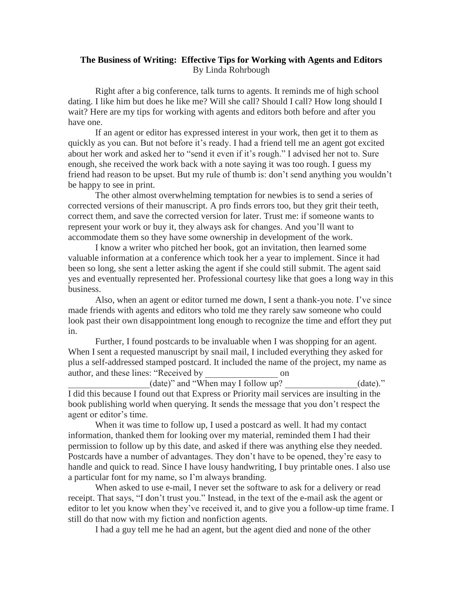## **The Business of Writing: Effective Tips for Working with Agents and Editors** By Linda Rohrbough

Right after a big conference, talk turns to agents. It reminds me of high school dating. I like him but does he like me? Will she call? Should I call? How long should I wait? Here are my tips for working with agents and editors both before and after you have one.

If an agent or editor has expressed interest in your work, then get it to them as quickly as you can. But not before it's ready. I had a friend tell me an agent got excited about her work and asked her to "send it even if it's rough." I advised her not to. Sure enough, she received the work back with a note saying it was too rough. I guess my friend had reason to be upset. But my rule of thumb is: don't send anything you wouldn't be happy to see in print.

The other almost overwhelming temptation for newbies is to send a series of corrected versions of their manuscript. A pro finds errors too, but they grit their teeth, correct them, and save the corrected version for later. Trust me: if someone wants to represent your work or buy it, they always ask for changes. And you'll want to accommodate them so they have some ownership in development of the work.

I know a writer who pitched her book, got an invitation, then learned some valuable information at a conference which took her a year to implement. Since it had been so long, she sent a letter asking the agent if she could still submit. The agent said yes and eventually represented her. Professional courtesy like that goes a long way in this business.

Also, when an agent or editor turned me down, I sent a thank-you note. I've since made friends with agents and editors who told me they rarely saw someone who could look past their own disappointment long enough to recognize the time and effort they put in.

Further, I found postcards to be invaluable when I was shopping for an agent. When I sent a requested manuscript by snail mail, I included everything they asked for plus a self-addressed stamped postcard. It included the name of the project, my name as author, and these lines: "Received by on

 $_1$ (date)" and "When may I follow up?  $_2$  (date)." I did this because I found out that Express or Priority mail services are insulting in the book publishing world when querying. It sends the message that you don't respect the agent or editor's time.

When it was time to follow up, I used a postcard as well. It had my contact information, thanked them for looking over my material, reminded them I had their permission to follow up by this date, and asked if there was anything else they needed. Postcards have a number of advantages. They don't have to be opened, they're easy to handle and quick to read. Since I have lousy handwriting, I buy printable ones. I also use a particular font for my name, so I'm always branding.

When asked to use e-mail, I never set the software to ask for a delivery or read receipt. That says, "I don't trust you." Instead, in the text of the e-mail ask the agent or editor to let you know when they've received it, and to give you a follow-up time frame. I still do that now with my fiction and nonfiction agents.

I had a guy tell me he had an agent, but the agent died and none of the other